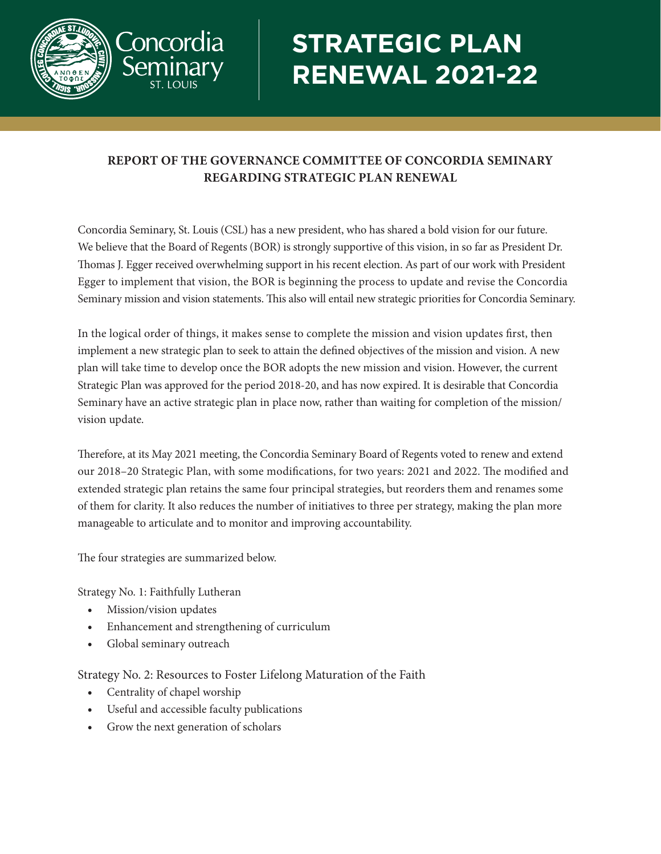

## **STRATEGIC PLAN RENEWAL 2021-22**

## **REPORT OF THE GOVERNANCE COMMITTEE OF CONCORDIA SEMINARY REGARDING STRATEGIC PLAN RENEWAL**

Concordia Seminary, St. Louis (CSL) has a new president, who has shared a bold vision for our future. We believe that the Board of Regents (BOR) is strongly supportive of this vision, in so far as President Dr. Thomas J. Egger received overwhelming support in his recent election. As part of our work with President Egger to implement that vision, the BOR is beginning the process to update and revise the Concordia Seminary mission and vision statements. This also will entail new strategic priorities for Concordia Seminary.

In the logical order of things, it makes sense to complete the mission and vision updates first, then implement a new strategic plan to seek to attain the defined objectives of the mission and vision. A new plan will take time to develop once the BOR adopts the new mission and vision. However, the current Strategic Plan was approved for the period 2018-20, and has now expired. It is desirable that Concordia Seminary have an active strategic plan in place now, rather than waiting for completion of the mission/ vision update.

Therefore, at its May 2021 meeting, the Concordia Seminary Board of Regents voted to renew and extend our 2018–20 Strategic Plan, with some modifications, for two years: 2021 and 2022. The modified and extended strategic plan retains the same four principal strategies, but reorders them and renames some of them for clarity. It also reduces the number of initiatives to three per strategy, making the plan more manageable to articulate and to monitor and improving accountability.

The four strategies are summarized below.

Strategy No. 1: Faithfully Lutheran

- Mission/vision updates
- Enhancement and strengthening of curriculum
- Global seminary outreach

Strategy No. 2: Resources to Foster Lifelong Maturation of the Faith

- Centrality of chapel worship
- Useful and accessible faculty publications
- Grow the next generation of scholars